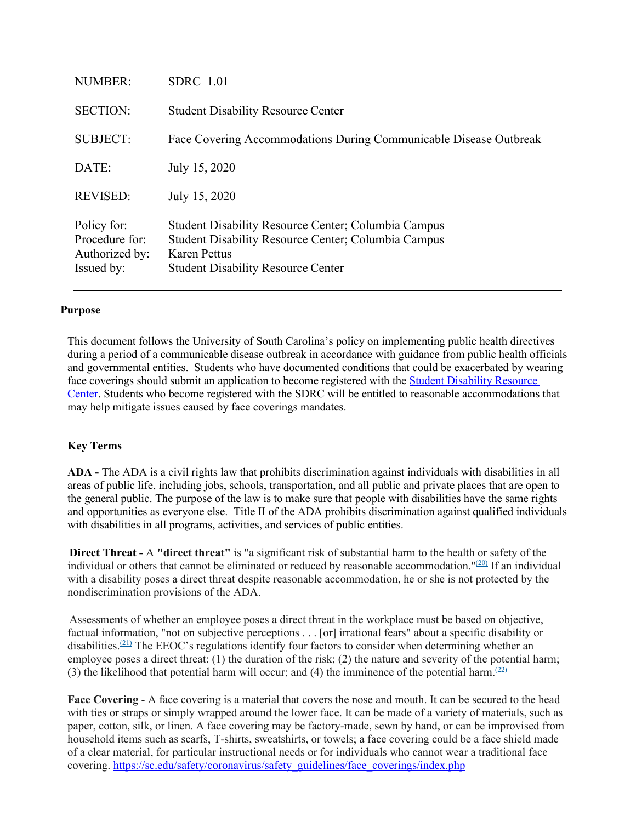| NUMBER:                                                       | SDRC 1.01                                                                                                                                                                             |
|---------------------------------------------------------------|---------------------------------------------------------------------------------------------------------------------------------------------------------------------------------------|
| <b>SECTION:</b>                                               | <b>Student Disability Resource Center</b>                                                                                                                                             |
| <b>SUBJECT:</b>                                               | Face Covering Accommodations During Communicable Disease Outbreak                                                                                                                     |
| DATE:                                                         | July 15, 2020                                                                                                                                                                         |
| <b>REVISED:</b>                                               | July 15, 2020                                                                                                                                                                         |
| Policy for:<br>Procedure for:<br>Authorized by:<br>Issued by: | <b>Student Disability Resource Center; Columbia Campus</b><br>Student Disability Resource Center; Columbia Campus<br><b>Karen Pettus</b><br><b>Student Disability Resource Center</b> |

#### **Purpose**

This document follows the University of South Carolina's policy on implementing public health directives during a period of a communicable disease outbreak in accordance with guidance from public health officials and governmental entities. Students who have documented conditions that could be exacerbated by wearing face coverings should submit an application to become registered with the [Student Disability Resource](https://sc.edu/about/offices_and_divisions/student_disability_resource_center/register_with_us/index.php)  [Center.](https://sc.edu/about/offices_and_divisions/student_disability_resource_center/register_with_us/index.php) Students who become registered with the SDRC will be entitled to reasonable accommodations that may help mitigate issues caused by face coverings mandates.

#### **Key Terms**

**ADA -** The ADA is a civil rights law that prohibits discrimination against individuals with disabilities in all areas of public life, including jobs, schools, transportation, and all public and private places that are open to the general public. The purpose of the law is to make sure that people with disabilities have the same rights and opportunities as everyone else. Title II of the ADA prohibits discrimination against qualified individuals with disabilities in all programs, activities, and services of public entities.

 **Direct Threat -** A **"direct threat"** is "a significant risk of substantial harm to the health or safety of the individual or others that cannot be eliminated or reduced by reasonable accommodation." $(20)$  If an individual with a disability poses a direct threat despite reasonable accommodation, he or she is not protected by the nondiscrimination provisions of the ADA.

 Assessments of whether an employee poses a direct threat in the workplace must be based on objective, factual information, "not on subjective perceptions . . . [or] irrational fears" about a specific disability or disabilities.<sup>(21)</sup> The EEOC's regulations identify four factors to consider when determining whether an employee poses a direct threat: (1) the duration of the risk; (2) the nature and severity of the potential harm; (3) the likelihood that potential harm will occur; and (4) the imminence of the potential harm.<sup>(22)</sup>

**Face Covering** - A face covering is a material that covers the nose and mouth. It can be secured to the head with ties or straps or simply wrapped around the lower face. It can be made of a variety of materials, such as paper, cotton, silk, or linen. A face covering may be factory-made, sewn by hand, or can be improvised from household items such as scarfs, T-shirts, sweatshirts, or towels; a face covering could be a face shield made of a clear material, for particular instructional needs or for individuals who cannot wear a traditional face covering. [https://sc.edu/safety/coronavirus/safety\\_guidelines/face\\_coverings/index.php](https://sc.edu/safety/coronavirus/safety_guidelines/face_coverings/index.php)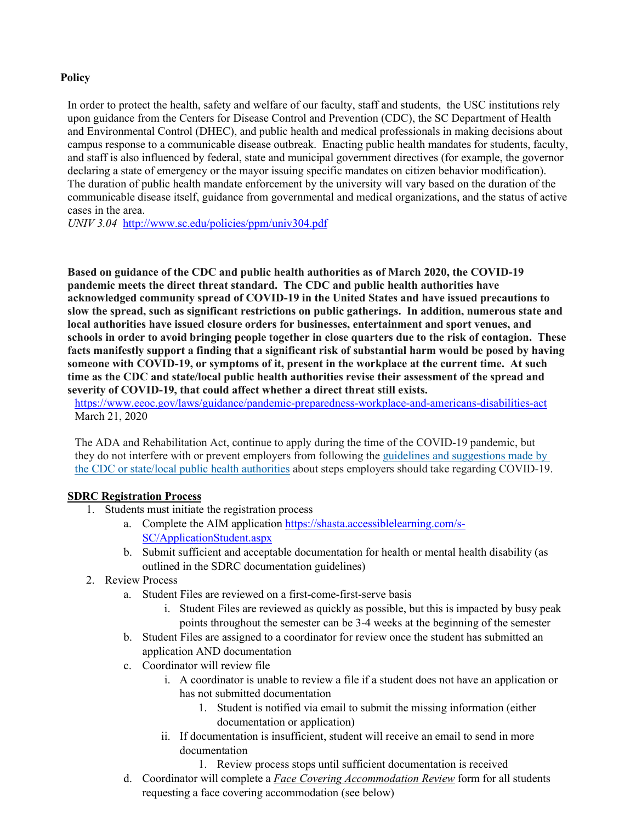# **Policy**

In order to protect the health, safety and welfare of our faculty, staff and students, the USC institutions rely upon guidance from the Centers for Disease Control and Prevention (CDC), the SC Department of Health and Environmental Control (DHEC), and public health and medical professionals in making decisions about campus response to a communicable disease outbreak. Enacting public health mandates for students, faculty, and staff is also influenced by federal, state and municipal government directives (for example, the governor declaring a state of emergency or the mayor issuing specific mandates on citizen behavior modification). The duration of public health mandate enforcement by the university will vary based on the duration of the communicable disease itself, guidance from governmental and medical organizations, and the status of active cases in the area.

*UNIV 3.04* <http://www.sc.edu/policies/ppm/univ304.pdf>

**Based on guidance of the CDC and public health authorities as of March 2020, the COVID-19 pandemic meets the direct threat standard. The CDC and public health authorities have acknowledged community spread of COVID-19 in the United States and have issued precautions to slow the spread, such as significant restrictions on public gatherings. In addition, numerous state and local authorities have issued closure orders for businesses, entertainment and sport venues, and schools in order to avoid bringing people together in close quarters due to the risk of contagion. These facts manifestly support a finding that a significant risk of substantial harm would be posed by having someone with COVID-19, or symptoms of it, present in the workplace at the current time. At such time as the CDC and state/local public health authorities revise their assessment of the spread and severity of COVID-19, that could affect whether a direct threat still exists.**

<https://www.eeoc.gov/laws/guidance/pandemic-preparedness-workplace-and-americans-disabilities-act> March 21, 2020

The ADA and Rehabilitation Act, continue to apply during the time of the COVID-19 pandemic, but they do not interfere with or prevent employers from following the [guidelines and suggestions made by](https://www.cdc.gov/coronavirus/2019-ncov/community/index.html)  [the CDC or state/local public health authorities](https://www.cdc.gov/coronavirus/2019-ncov/community/index.html) about steps employers should take regarding COVID-19.

# **SDRC Registration Process**

- 1. Students must initiate the registration process
	- a. Complete the AIM application [https://shasta.accessiblelearning.com/s-](https://shasta.accessiblelearning.com/s-SC/ApplicationStudent.aspx)[SC/ApplicationStudent.aspx](https://shasta.accessiblelearning.com/s-SC/ApplicationStudent.aspx)
	- b. Submit sufficient and acceptable documentation for health or mental health disability (as outlined in the SDRC documentation guidelines)
- 2. Review Process
	- a. Student Files are reviewed on a first-come-first-serve basis
		- i. Student Files are reviewed as quickly as possible, but this is impacted by busy peak points throughout the semester can be 3-4 weeks at the beginning of the semester
	- b. Student Files are assigned to a coordinator for review once the student has submitted an application AND documentation
	- c. Coordinator will review file
		- i. A coordinator is unable to review a file if a student does not have an application or has not submitted documentation
			- 1. Student is notified via email to submit the missing information (either documentation or application)
		- ii. If documentation is insufficient, student will receive an email to send in more documentation
			- 1. Review process stops until sufficient documentation is received
	- d. Coordinator will complete a *Face Covering Accommodation Review* form for all students requesting a face covering accommodation (see below)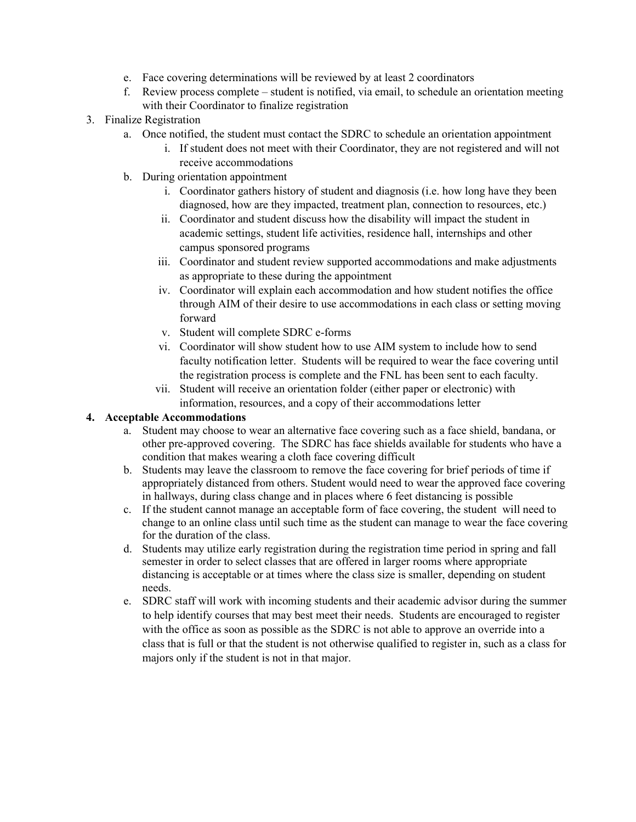- e. Face covering determinations will be reviewed by at least 2 coordinators
- f. Review process complete student is notified, via email, to schedule an orientation meeting with their Coordinator to finalize registration
- 3. Finalize Registration
	- a. Once notified, the student must contact the SDRC to schedule an orientation appointment
		- i. If student does not meet with their Coordinator, they are not registered and will not receive accommodations
	- b. During orientation appointment
		- i. Coordinator gathers history of student and diagnosis (i.e. how long have they been diagnosed, how are they impacted, treatment plan, connection to resources, etc.)
		- ii. Coordinator and student discuss how the disability will impact the student in academic settings, student life activities, residence hall, internships and other campus sponsored programs
		- iii. Coordinator and student review supported accommodations and make adjustments as appropriate to these during the appointment
		- iv. Coordinator will explain each accommodation and how student notifies the office through AIM of their desire to use accommodations in each class or setting moving forward
		- v. Student will complete SDRC e-forms
		- vi. Coordinator will show student how to use AIM system to include how to send faculty notification letter. Students will be required to wear the face covering until the registration process is complete and the FNL has been sent to each faculty.
		- vii. Student will receive an orientation folder (either paper or electronic) with information, resources, and a copy of their accommodations letter

# **4. Acceptable Accommodations**

- a. Student may choose to wear an alternative face covering such as a face shield, bandana, or other pre-approved covering. The SDRC has face shields available for students who have a condition that makes wearing a cloth face covering difficult
- b. Students may leave the classroom to remove the face covering for brief periods of time if appropriately distanced from others. Student would need to wear the approved face covering in hallways, during class change and in places where 6 feet distancing is possible
- c. If the student cannot manage an acceptable form of face covering, the student will need to change to an online class until such time as the student can manage to wear the face covering for the duration of the class.
- d. Students may utilize early registration during the registration time period in spring and fall semester in order to select classes that are offered in larger rooms where appropriate distancing is acceptable or at times where the class size is smaller, depending on student needs.
- e. SDRC staff will work with incoming students and their academic advisor during the summer to help identify courses that may best meet their needs. Students are encouraged to register with the office as soon as possible as the SDRC is not able to approve an override into a class that is full or that the student is not otherwise qualified to register in, such as a class for majors only if the student is not in that major.